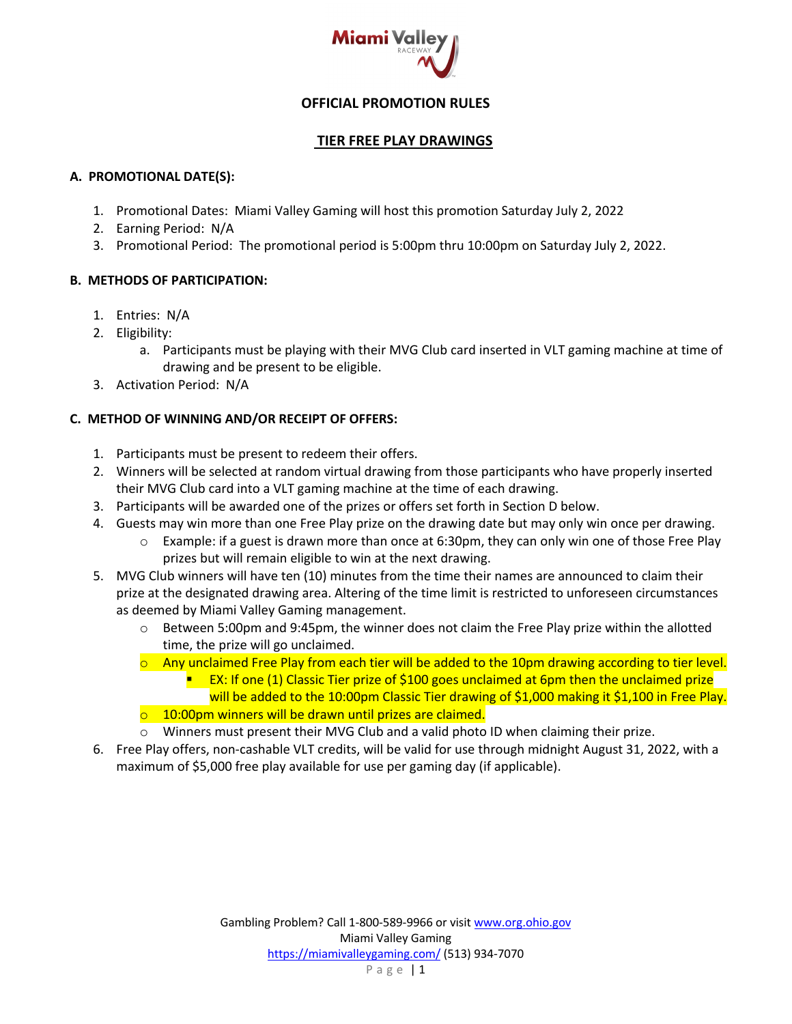

# **OFFICIAL PROMOTION RULES**

### **TIER FREE PLAY DRAWINGS**

### **A. PROMOTIONAL DATE(S):**

- 1. Promotional Dates: Miami Valley Gaming will host this promotion Saturday July 2, 2022
- 2. Earning Period: N/A
- 3. Promotional Period: The promotional period is 5:00pm thru 10:00pm on Saturday July 2, 2022.

## **B. METHODS OF PARTICIPATION:**

- 1. Entries: N/A
- 2. Eligibility:
	- a. Participants must be playing with their MVG Club card inserted in VLT gaming machine at time of drawing and be present to be eligible.
- 3. Activation Period: N/A

# **C. METHOD OF WINNING AND/OR RECEIPT OF OFFERS:**

- 1. Participants must be present to redeem their offers.
- 2. Winners will be selected at random virtual drawing from those participants who have properly inserted their MVG Club card into a VLT gaming machine at the time of each drawing.
- 3. Participants will be awarded one of the prizes or offers set forth in Section D below.
- 4. Guests may win more than one Free Play prize on the drawing date but may only win once per drawing.
	- $\circ$  Example: if a guest is drawn more than once at 6:30pm, they can only win one of those Free Play prizes but will remain eligible to win at the next drawing.
- 5. MVG Club winners will have ten (10) minutes from the time their names are announced to claim their prize at the designated drawing area. Altering of the time limit is restricted to unforeseen circumstances as deemed by Miami Valley Gaming management.
	- $\circ$  Between 5:00pm and 9:45pm, the winner does not claim the Free Play prize within the allotted time, the prize will go unclaimed.
	- $\circ$  Any unclaimed Free Play from each tier will be added to the 10pm drawing according to tier level.
		- EX: If one (1) Classic Tier prize of \$100 goes unclaimed at 6pm then the unclaimed prize will be added to the 10:00pm Classic Tier drawing of \$1,000 making it \$1,100 in Free Play.
	- $\circ$  10:00pm winners will be drawn until prizes are claimed.
	- o Winners must present their MVG Club and a valid photo ID when claiming their prize.
- 6. Free Play offers, non-cashable VLT credits, will be valid for use through midnight August 31, 2022, with a maximum of \$5,000 free play available for use per gaming day (if applicable).